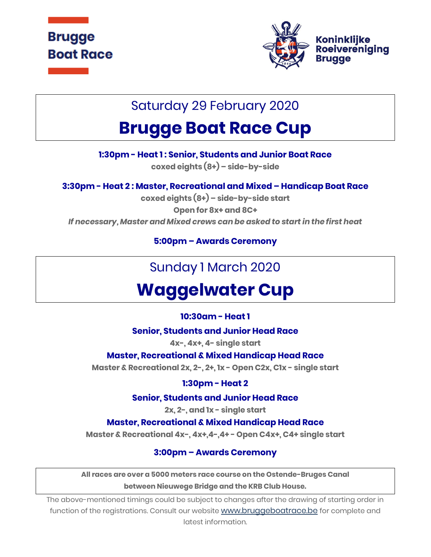



### Saturday 29 February 2020

# **Brugge Boat Race Cup**

**1:30pm - Heat 1 : Senior, Students and Junior Boat Race**

**coxed eights (8+) – side-by-side**

**3:30pm - Heat 2 : Master, Recreational and Mixed – Handicap Boat Race**

**coxed eights (8+) – side-by-side start Open for 8x+ and 8C+** *If necessary, Master and Mixed crews can be asked to start in the first heat*

**5:00pm – Awards Ceremony**

## Sunday 1 March 2020

# **Waggelwater Cup**

#### **10:30am - Heat 1**

**Senior, Students and Junior Head Race**

**4x-, 4x+, 4- single start**

**Master, Recreational & Mixed Handicap Head Race**

**Master & Recreational 2x, 2-, 2+, 1x - Open C2x, C1x - single start**

#### **1:30pm - Heat 2**

#### **Senior, Students and Junior Head Race**

**2x, 2-, and 1x - single start**

#### **Master, Recreational & Mixed Handicap Head Race**

**Master & Recreational 4x-, 4x+,4-,4+ - Open C4x+, C4+ single start**

#### **3:00pm – Awards Ceremony**

**All races are over a 5000 meters race course on the Ostende-Bruges Canal between Nieuwege Bridge and the KRB Club House.**

The above-mentioned timings could be subject to changes after the drawing of starting order in function of the registrations. Consult our website [www.bruggeboatrace.be](http://www.bruggeboatrace.be/) for complete and latest information.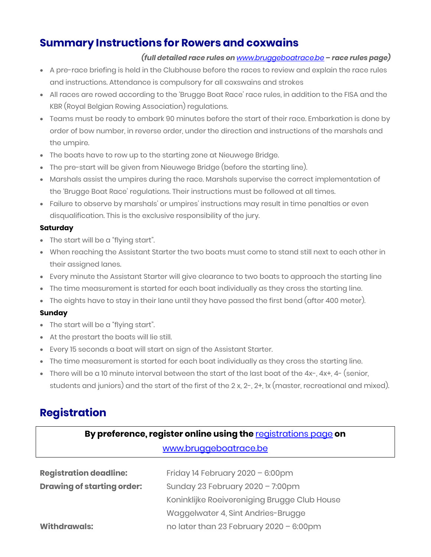### **Summary Instructions for Rowers and coxwains**

#### *(full detailed race rules on [www.bruggeboatrace.be](http://www.bruggeboatrace/) – race rules page)*

- A pre-race briefing is held in the Clubhouse before the races to review and explain the race rules and instructions. Attendance is compulsory for all coxswains and strokes
- All races are rowed according to the 'Brugge Boat Race' race rules, in addition to the FISA and the KBR (Royal Belgian Rowing Association) regulations.
- Teams must be ready to embark 90 minutes before the start of their race. Embarkation is done by order of bow number, in reverse order, under the direction and instructions of the marshals and the umpire.
- The boats have to row up to the starting zone at Nieuwege Bridge.
- The pre-start will be given from Nieuwege Bridge (before the starting line).
- Marshals assist the umpires during the race. Marshals supervise the correct implementation of the 'Brugge Boat Race' regulations. Their instructions must be followed at all times.
- Failure to observe by marshals' or umpires' instructions may result in time penalties or even disqualification. This is the exclusive responsibility of the jury.

#### **Saturday**

- The start will be a "flying start".
- When reaching the Assistant Starter the two boats must come to stand still next to each other in their assigned lanes.
- Every minute the Assistant Starter will give clearance to two boats to approach the starting line
- The time measurement is started for each boat individually as they cross the starting line.
- The eights have to stay in their lane until they have passed the first bend (after 400 meter).

#### **Sunday**

- The start will be a "flying start".
- At the prestart the boats will lie still.
- Every 15 seconds a boat will start on sign of the Assistant Starter.
- The time measurement is started for each boat individually as they cross the starting line.
- There will be a 10 minute interval between the start of the last boat of the 4x-, 4x+, 4- (senior, students and juniors) and the start of the first of the 2 x, 2-, 2+, 1x (master, recreational and mixed).

### **Registration**

#### **By preference, register online using the** [registrations page](http://176.32.230.251/langerei.be/bruggeboatrace/?page_id=97) **on**

#### [www.bruggeboatrace.be](https://d.docs.live.net/0fd1c1cb851323a1/BBR/BBR%202017/Voorprograma)

| <b>Registration deadline:</b>     | Friday 14 February 2020 - 6:00pm             |
|-----------------------------------|----------------------------------------------|
| <b>Drawing of starting order:</b> | Sunday 23 February $2020 - 7:00 \text{pm}$   |
|                                   | Koninklijke Roeivereniging Brugge Club House |
|                                   | Waggelwater 4, Sint Andries-Brugge           |
| <b>Withdrawals:</b>               | no later than 23 February 2020 - 6:00pm      |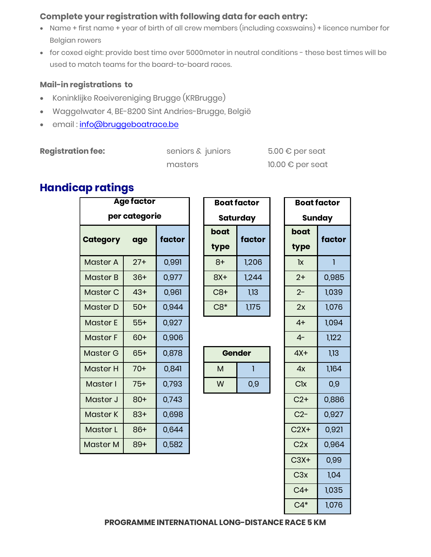#### **Complete your registration with following data for each entry:**

- Name + first name + year of birth of all crew members (including coxswains) + licence number for Belgian rowers
- for coxed eight: provide best time over 5000meter in neutral conditions these best times will be used to match teams for the board-to-board races.

#### **Mail-in registrations to**

- Koninklijke Roeivereniging Brugge (KRBrugge)
- Waggelwater 4, BE-8200 Sint Andries-Brugge, België
- email: [info@bruggeboatrace.be](mailto:%20info@bruggeboatrace.be)

#### **Registration fee:** seniors & juniors 5.00 € per seat

masters 10.00 € per seat

### **Handicap ratings**

|                 | <b>Age factor</b>     |                 |       | <b>Boat factor</b> |                       | <b>Boat factor</b> |
|-----------------|-----------------------|-----------------|-------|--------------------|-----------------------|--------------------|
| per categorie   |                       | <b>Saturday</b> |       | <b>Sunday</b>      |                       |                    |
|                 |                       |                 | boat  | factor             | boat                  | factor             |
| <b>Category</b> | factor<br>age<br>type |                 | type  |                    |                       |                    |
| <b>Master A</b> | $27+$                 | 0,991           | $8+$  | 1,206              | $\mathsf{lx}$         | 1                  |
| <b>Master B</b> | $36+$                 | 0,977           | $8X+$ | 1,244              | $2+$                  | 0,985              |
| Master C        | $43+$                 | 0,961           | $C8+$ | 1,13               | $2 -$                 | 1,039              |
| <b>Master D</b> | $50+$                 | 0,944           | $C8*$ | 1,175              | 2x                    | 1,076              |
| <b>Master E</b> | $55+$                 | 0,927           |       |                    | $4+$                  | 1,094              |
| <b>Master F</b> | $60+$                 | 0,906           |       |                    | $4-$                  | 1,122              |
| <b>Master G</b> | $65+$                 | 0,878           |       | <b>Gender</b>      | $4X+$                 | 1,13               |
| <b>Master H</b> | $70+$                 | 0,841           | M     | 1                  | 4x                    | 1,164              |
| Master I        | $75+$                 | 0,793           | W     | 0,9                | <b>C<sub>lx</sub></b> | 0,9                |
| Master J        | $80+$                 | 0,743           |       |                    | $C2+$                 | 0,886              |
| <b>Master K</b> | $83+$                 | 0,698           |       |                    | $C2-$                 | 0,927              |
| Master L        | $86+$                 | 0,644           |       |                    | $C2X+$                | 0,921              |
| <b>Master M</b> | $89+$                 | 0,582           |       |                    | C2x                   | 0,964              |
|                 |                       |                 |       |                    |                       |                    |

| Boat factor    |       |  |  |  |
|----------------|-------|--|--|--|
| Saturday       |       |  |  |  |
| boat<br>factor |       |  |  |  |
| type           |       |  |  |  |
| 8+             | 1,206 |  |  |  |
| 8X+            | 1,244 |  |  |  |
| C8+            | 1,13  |  |  |  |
| $C8*$          | 1,175 |  |  |  |

| <b>Gender</b> |     |  |  |  |
|---------------|-----|--|--|--|
| м             |     |  |  |  |
| w             | 0,9 |  |  |  |

| <b>Boat factor</b> |        |  |  |  |
|--------------------|--------|--|--|--|
|                    | Sunday |  |  |  |
| boat               | factor |  |  |  |
| type               |        |  |  |  |
| 1x                 | ī      |  |  |  |
| $2+$               | 0,985  |  |  |  |
| $2 -$              | 1,039  |  |  |  |
| 2x                 | 1,076  |  |  |  |
| $4+$               | 1,094  |  |  |  |
| $4-$               | 1,122  |  |  |  |
| $4X+$              | 1,13   |  |  |  |
| 4x                 | 1,164  |  |  |  |
| Clx                | 0,9    |  |  |  |
| $C2+$              | 0,886  |  |  |  |
| $C2-$              | 0,927  |  |  |  |
| $C2X+$             | 0,921  |  |  |  |
| C2x                | 0,964  |  |  |  |
| $C3X+$             | 0,99   |  |  |  |
| C3x                | 1,04   |  |  |  |
| $C4+$              | 1,035  |  |  |  |
| $C4*$              | 1,076  |  |  |  |

**PROGRAMME INTERNATIONAL LONG-DISTANCE RACE 5 KM**